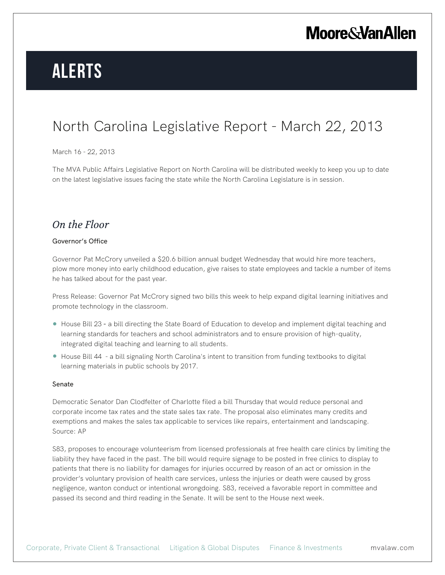# **Alerts**

## North Carolina Legislative Report - March 22, 2013

### March 16 - 22, 2013

The MVA Public Affairs Legislative Report on North Carolina will be distributed weekly to keep you up to date on the latest legislative issues facing the state while the North Carolina Legislature is in session.

### *On the Floor*

#### Governor's Office

Governor Pat McCrory unveiled a \$20.6 billion annual budget Wednesday that would hire more teachers, plow more money into early childhood education, give raises to state employees and tackle a number of items he has talked about for the past year.

Press Release: Governor Pat McCrory signed two bills this week to help expand digital learning initiatives and promote technology in the classroom.

- House Bill 23 a bill directing the State Board of Education to develop and implement digital teaching and learning standards for teachers and school administrators and to ensure provision of high-quality, integrated digital teaching and learning to all students.
- House Bill 44 a bill signaling North Carolina's intent to transition from funding textbooks to digital learning materials in public schools by 2017.

#### Senate

Democratic Senator Dan Clodfelter of Charlotte filed a bill Thursday that would reduce personal and corporate income tax rates and the state sales tax rate. The proposal also eliminates many credits and exemptions and makes the sales tax applicable to services like repairs, entertainment and landscaping. Source: AP

S83, proposes to encourage volunteerism from licensed professionals at free health care clinics by limiting the liability they have faced in the past. The bill would require signage to be posted in free clinics to display to patients that there is no liability for damages for injuries occurred by reason of an act or omission in the provider's voluntary provision of health care services, unless the injuries or death were caused by gross negligence, wanton conduct or intentional wrongdoing. S83, received a favorable report in committee and passed its second and third reading in the Senate. It will be sent to the House next week.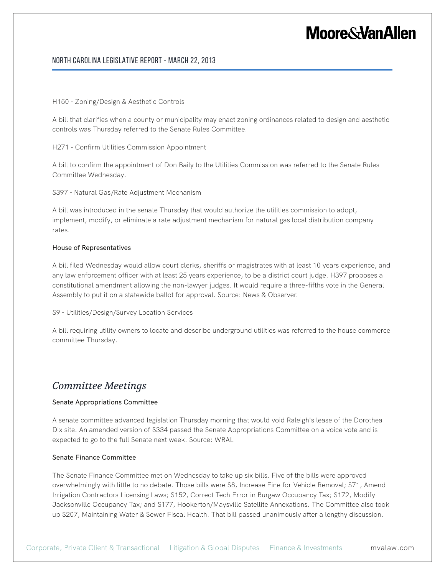### North Carolina Legislative Report - March 22, 2013

#### H150 - Zoning/Design & Aesthetic Controls

A bill that clarifies when a county or municipality may enact zoning ordinances related to design and aesthetic controls was Thursday referred to the Senate Rules Committee.

H271 - Confirm Utilities Commission Appointment

A bill to confirm the appointment of Don Baily to the Utilities Commission was referred to the Senate Rules Committee Wednesday.

S397 - Natural Gas/Rate Adjustment Mechanism

A bill was introduced in the senate Thursday that would authorize the utilities commission to adopt, implement, modify, or eliminate a rate adjustment mechanism for natural gas local distribution company rates.

#### House of Representatives

A bill filed Wednesday would allow court clerks, sheriffs or magistrates with at least 10 years experience, and any law enforcement officer with at least 25 years experience, to be a district court judge. H397 proposes a constitutional amendment allowing the non-lawyer judges. It would require a three-fifths vote in the General Assembly to put it on a statewide ballot for approval. Source: News & Observer.

S9 - Utilities/Design/Survey Location Services

A bill requiring utility owners to locate and describe underground utilities was referred to the house commerce committee Thursday.

### *Committee Meetings*

#### Senate Appropriations Committee

A senate committee advanced legislation Thursday morning that would void Raleigh's lease of the Dorothea Dix site. An amended version of S334 passed the Senate Appropriations Committee on a voice vote and is expected to go to the full Senate next week. Source: WRAL

#### Senate Finance Committee

The Senate Finance Committee met on Wednesday to take up six bills. Five of the bills were approved overwhelmingly with little to no debate. Those bills were S8, Increase Fine for Vehicle Removal; S71, Amend Irrigation Contractors Licensing Laws; S152, Correct Tech Error in Burgaw Occupancy Tax; S172, Modify Jacksonville Occupancy Tax; and S177, Hookerton/Maysville Satellite Annexations. The Committee also took up S207, Maintaining Water & Sewer Fiscal Health. That bill passed unanimously after a lengthy discussion.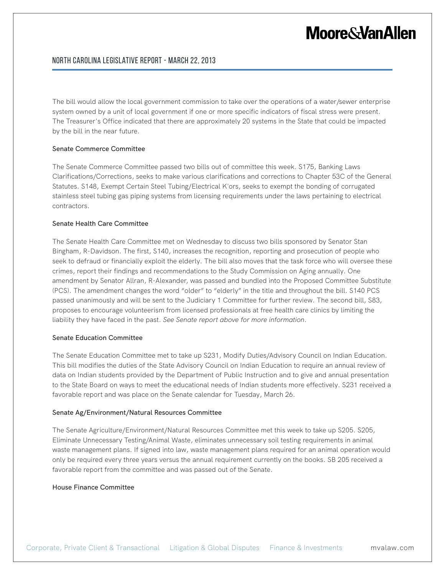### North Carolina Legislative Report - March 22, 2013

The bill would allow the local government commission to take over the operations of a water/sewer enterprise system owned by a unit of local government if one or more specific indicators of fiscal stress were present. The Treasurer's Office indicated that there are approximately 20 systems in the State that could be impacted by the bill in the near future.

#### Senate Commerce Committee

The Senate Commerce Committee passed two bills out of committee this week. S175, Banking Laws Clarifications/Corrections, seeks to make various clarifications and corrections to Chapter 53C of the General Statutes. S148, Exempt Certain Steel Tubing/Electrical K'ors, seeks to exempt the bonding of corrugated stainless steel tubing gas piping systems from licensing requirements under the laws pertaining to electrical contractors.

#### Senate Health Care Committee

The Senate Health Care Committee met on Wednesday to discuss two bills sponsored by Senator Stan Bingham, R-Davidson. The first, S140, increases the recognition, reporting and prosecution of people who seek to defraud or financially exploit the elderly. The bill also moves that the task force who will oversee these crimes, report their findings and recommendations to the Study Commission on Aging annually. One amendment by Senator Allran, R-Alexander, was passed and bundled into the Proposed Committee Substitute (PCS). The amendment changes the word "older" to "elderly" in the title and throughout the bill. S140 PCS passed unanimously and will be sent to the Judiciary 1 Committee for further review. The second bill, S83, proposes to encourage volunteerism from licensed professionals at free health care clinics by limiting the liability they have faced in the past. *See Senate report above for more information*.

#### Senate Education Committee

The Senate Education Committee met to take up S231, Modify Duties/Advisory Council on Indian Education. This bill modifies the duties of the State Advisory Council on Indian Education to require an annual review of data on Indian students provided by the Department of Public Instruction and to give and annual presentation to the State Board on ways to meet the educational needs of Indian students more effectively. S231 received a favorable report and was place on the Senate calendar for Tuesday, March 26.

#### Senate Ag/Environment/Natural Resources Committee

The Senate Agriculture/Environment/Natural Resources Committee met this week to take up S205. S205, Eliminate Unnecessary Testing/Animal Waste, eliminates unnecessary soil testing requirements in animal waste management plans. If signed into law, waste management plans required for an animal operation would only be required every three years versus the annual requirement currently on the books. SB 205 received a favorable report from the committee and was passed out of the Senate.

#### House Finance Committee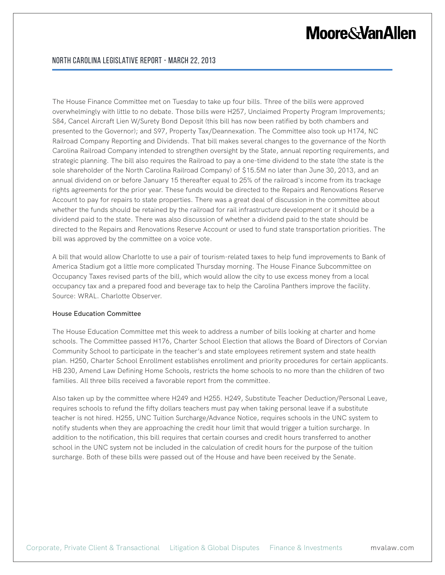The House Finance Committee met on Tuesday to take up four bills. Three of the bills were approved overwhelmingly with little to no debate. Those bills were H257, Unclaimed Property Program Improvements; S84, Cancel Aircraft Lien W/Surety Bond Deposit (this bill has now been ratified by both chambers and presented to the Governor); and S97, Property Tax/Deannexation. The Committee also took up H174, NC Railroad Company Reporting and Dividends. That bill makes several changes to the governance of the North Carolina Railroad Company intended to strengthen oversight by the State, annual reporting requirements, and strategic planning. The bill also requires the Railroad to pay a one-time dividend to the state (the state is the sole shareholder of the North Carolina Railroad Company) of \$15.5M no later than June 30, 2013, and an annual dividend on or before January 15 thereafter equal to 25% of the railroad's income from its trackage rights agreements for the prior year. These funds would be directed to the Repairs and Renovations Reserve Account to pay for repairs to state properties. There was a great deal of discussion in the committee about whether the funds should be retained by the railroad for rail infrastructure development or it should be a dividend paid to the state. There was also discussion of whether a dividend paid to the state should be directed to the Repairs and Renovations Reserve Account or used to fund state transportation priorities. The bill was approved by the committee on a voice vote.

A bill that would allow Charlotte to use a pair of tourism-related taxes to help fund improvements to Bank of America Stadium got a little more complicated Thursday morning. The House Finance Subcommittee on Occupancy Taxes revised parts of the bill, which would allow the city to use excess money from a local occupancy tax and a prepared food and beverage tax to help the Carolina Panthers improve the facility. Source: WRAL. Charlotte Observer.

#### House Education Committee

The House Education Committee met this week to address a number of bills looking at charter and home schools. The Committee passed H176, Charter School Election that allows the Board of Directors of Corvian Community School to participate in the teacher's and state employees retirement system and state health plan. H250, Charter School Enrollment establishes enrollment and priority procedures for certain applicants. HB 230, Amend Law Defining Home Schools, restricts the home schools to no more than the children of two families. All three bills received a favorable report from the committee.

Also taken up by the committee where H249 and H255. H249, Substitute Teacher Deduction/Personal Leave, requires schools to refund the fifty dollars teachers must pay when taking personal leave if a substitute teacher is not hired. H255, UNC Tuition Surcharge/Advance Notice, requires schools in the UNC system to notify students when they are approaching the credit hour limit that would trigger a tuition surcharge. In addition to the notification, this bill requires that certain courses and credit hours transferred to another school in the UNC system not be included in the calculation of credit hours for the purpose of the tuition surcharge. Both of these bills were passed out of the House and have been received by the Senate.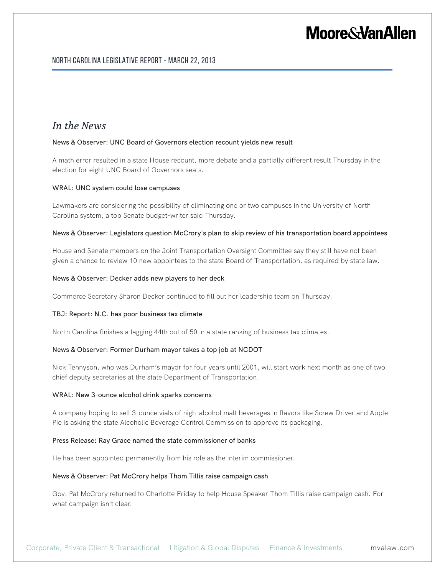### North Carolina Legislative Report - March 22, 2013

### *In the News*

#### News & Observer: UNC Board of Governors election recount yields new result

A math error resulted in a state House recount, more debate and a partially different result Thursday in the election for eight UNC Board of Governors seats.

#### WRAL: UNC system could lose campuses

Lawmakers are considering the possibility of eliminating one or two campuses in the University of North Carolina system, a top Senate budget-writer said Thursday.

#### News & Observer: Legislators question McCrory's plan to skip review of his transportation board appointees

House and Senate members on the Joint Transportation Oversight Committee say they still have not been given a chance to review 10 new appointees to the state Board of Transportation, as required by state law.

#### News & Observer: Decker adds new players to her deck

Commerce Secretary Sharon Decker continued to fill out her leadership team on Thursday.

#### TBJ: Report: N.C. has poor business tax climate

North Carolina finishes a lagging 44th out of 50 in a state ranking of business tax climates.

#### News & Observer: Former Durham mayor takes a top job at NCDOT

Nick Tennyson, who was Durham's mayor for four years until 2001, will start work next month as one of two chief deputy secretaries at the state Department of Transportation.

#### WRAL: New 3-ounce alcohol drink sparks concerns

A company hoping to sell 3-ounce vials of high-alcohol malt beverages in flavors like Screw Driver and Apple Pie is asking the state Alcoholic Beverage Control Commission to approve its packaging.

#### Press Release: Ray Grace named the state commissioner of banks

He has been appointed permanently from his role as the interim commissioner.

#### News & Observer: Pat McCrory helps Thom Tillis raise campaign cash

Gov. Pat McCrory returned to Charlotte Friday to help House Speaker Thom Tillis raise campaign cash. For what campaign isn't clear.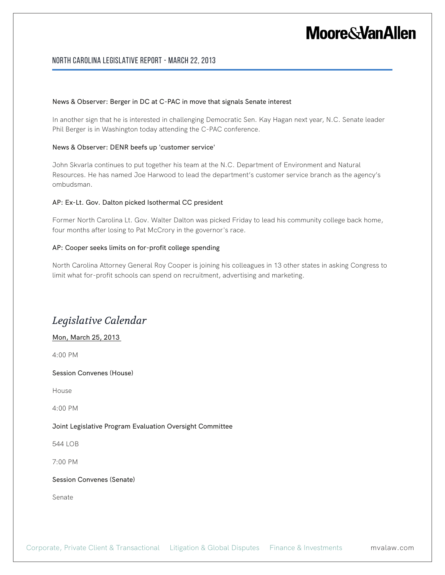### North Carolina Legislative Report - March 22, 2013

#### News & Observer: Berger in DC at C-PAC in move that signals Senate interest

In another sign that he is interested in challenging Democratic Sen. Kay Hagan next year, N.C. Senate leader Phil Berger is in Washington today attending the C-PAC conference.

#### News & Observer: DENR beefs up 'customer service'

John Skvarla continues to put together his team at the N.C. Department of Environment and Natural Resources. He has named Joe Harwood to lead the department's customer service branch as the agency's ombudsman.

#### AP: Ex-Lt. Gov. Dalton picked Isothermal CC president

Former North Carolina Lt. Gov. Walter Dalton was picked Friday to lead his community college back home, four months after losing to Pat McCrory in the governor's race.

#### AP: Cooper seeks limits on for-profit college spending

North Carolina Attorney General Roy Cooper is joining his colleagues in 13 other states in asking Congress to limit what for-profit schools can spend on recruitment, advertising and marketing.

## *Legislative Calendar*

#### Mon, March 25, 2013

4:00 PM

Session Convenes (House)

House

4:00 PM

#### Joint Legislative Program Evaluation Oversight Committee

544 LOB

7:00 PM

Session Convenes (Senate)

Senate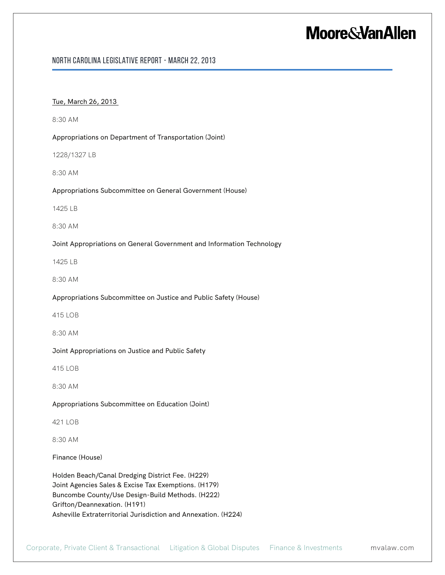### North Carolina Legislative Report - March 22, 2013

#### Tue, March 26, 2013

8:30 AM

Appropriations on Department of Transportation (Joint)

1228/1327 LB

8:30 AM

#### Appropriations Subcommittee on General Government (House)

1425 LB

8:30 AM

#### Joint Appropriations on General Government and Information Technology

1425 LB

8:30 AM

Appropriations Subcommittee on Justice and Public Safety (House)

415 LOB

8:30 AM

#### Joint Appropriations on Justice and Public Safety

415 LOB

8:30 AM

#### Appropriations Subcommittee on Education (Joint)

421 LOB

8:30 AM

Finance (House)

Holden Beach/Canal Dredging District Fee. (H229) Joint Agencies Sales & Excise Tax Exemptions. (H179) Buncombe County/Use Design-Build Methods. (H222) Grifton/Deannexation. (H191) Asheville Extraterritorial Jurisdiction and Annexation. (H224)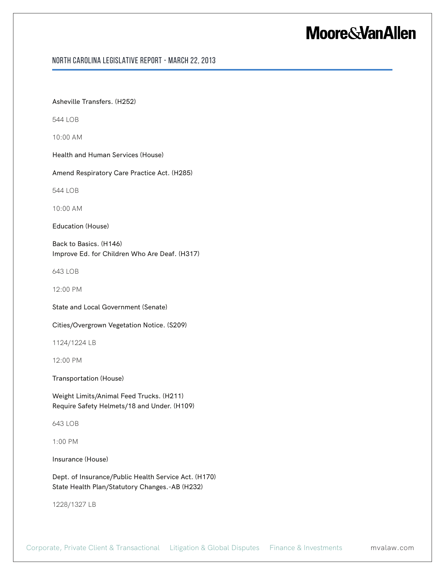### North Carolina Legislative Report - March 22, 2013

#### Asheville Transfers. (H252)

544 LOB

10:00 AM

Health and Human Services (House)

Amend Respiratory Care Practice Act. (H285)

544 LOB

10:00 AM

Education (House)

Back to Basics. (H146) Improve Ed. for Children Who Are Deaf. (H317)

643 LOB

12:00 PM

State and Local Government (Senate)

Cities/Overgrown Vegetation Notice. (S209)

1124/1224 LB

12:00 PM

Transportation (House)

Weight Limits/Animal Feed Trucks. (H211) Require Safety Helmets/18 and Under. (H109)

643 LOB

1:00 PM

Insurance (House)

Dept. of Insurance/Public Health Service Act. (H170) State Health Plan/Statutory Changes.-AB (H232)

1228/1327 LB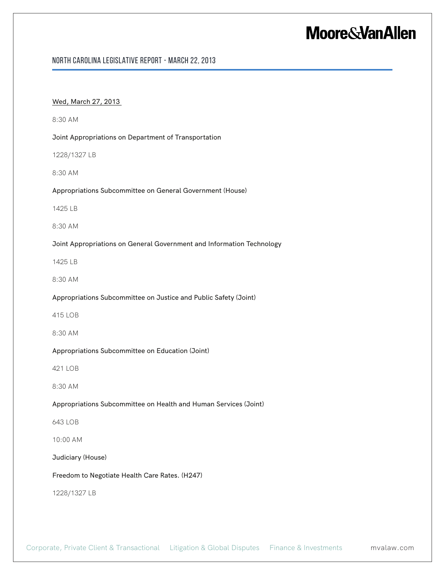### North Carolina Legislative Report - March 22, 2013

#### Wed, March 27, 2013

8:30 AM

Joint Appropriations on Department of Transportation

1228/1327 LB

8:30 AM

#### Appropriations Subcommittee on General Government (House)

1425 LB

8:30 AM

#### Joint Appropriations on General Government and Information Technology

1425 LB

8:30 AM

#### Appropriations Subcommittee on Justice and Public Safety (Joint)

415 LOB

8:30 AM

#### Appropriations Subcommittee on Education (Joint)

421 LOB

8:30 AM

#### Appropriations Subcommittee on Health and Human Services (Joint)

643 LOB

10:00 AM

Judiciary (House)

Freedom to Negotiate Health Care Rates. (H247)

1228/1327 LB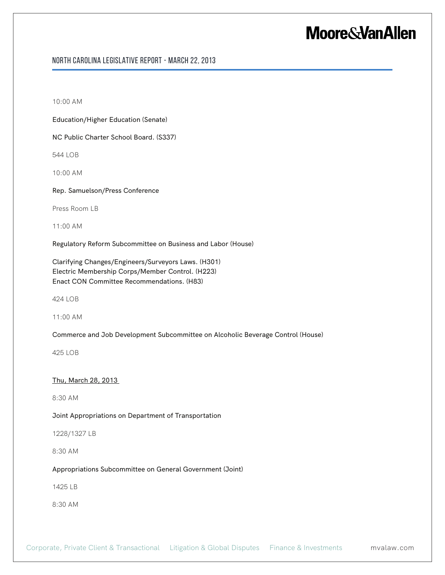### North Carolina Legislative Report - March 22, 2013

10:00 AM

Education/Higher Education (Senate)

NC Public Charter School Board. (S337)

544 LOB

10:00 AM

Rep. Samuelson/Press Conference

Press Room LB

11:00 AM

Regulatory Reform Subcommittee on Business and Labor (House)

Clarifying Changes/Engineers/Surveyors Laws. (H301) Electric Membership Corps/Member Control. (H223) Enact CON Committee Recommendations. (H83)

424 LOB

11:00 AM

Commerce and Job Development Subcommittee on Alcoholic Beverage Control (House)

425 LOB

Thu, March 28, 2013

8:30 AM

Joint Appropriations on Department of Transportation

1228/1327 LB

8:30 AM

Appropriations Subcommittee on General Government (Joint)

1425 LB

8:30 AM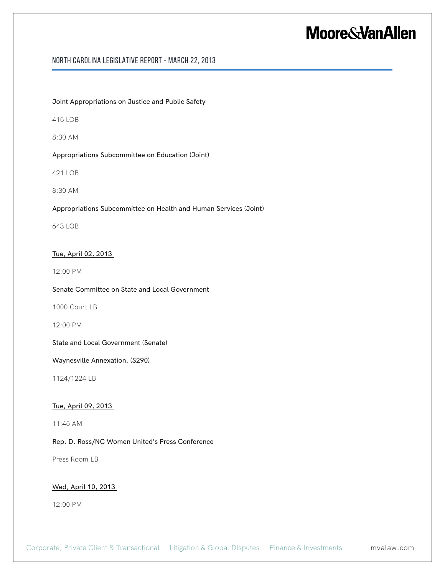### North Carolina Legislative Report - March 22, 2013

Joint Appropriations on Justice and Public Safety

415 LOB

8:30 AM

Appropriations Subcommittee on Education (Joint)

421 LOB

8:30 AM

Appropriations Subcommittee on Health and Human Services (Joint)

643 LOB

#### Tue, April 02, 2013

12:00 PM

Senate Committee on State and Local Government

1000 Court LB

12:00 PM

State and Local Government (Senate)

Waynesville Annexation. (S290)

1124/1224 LB

#### Tue, April 09, 2013

11:45 AM

Rep. D. Ross/NC Women United's Press Conference

Press Room LB

#### Wed, April 10, 2013

12:00 PM